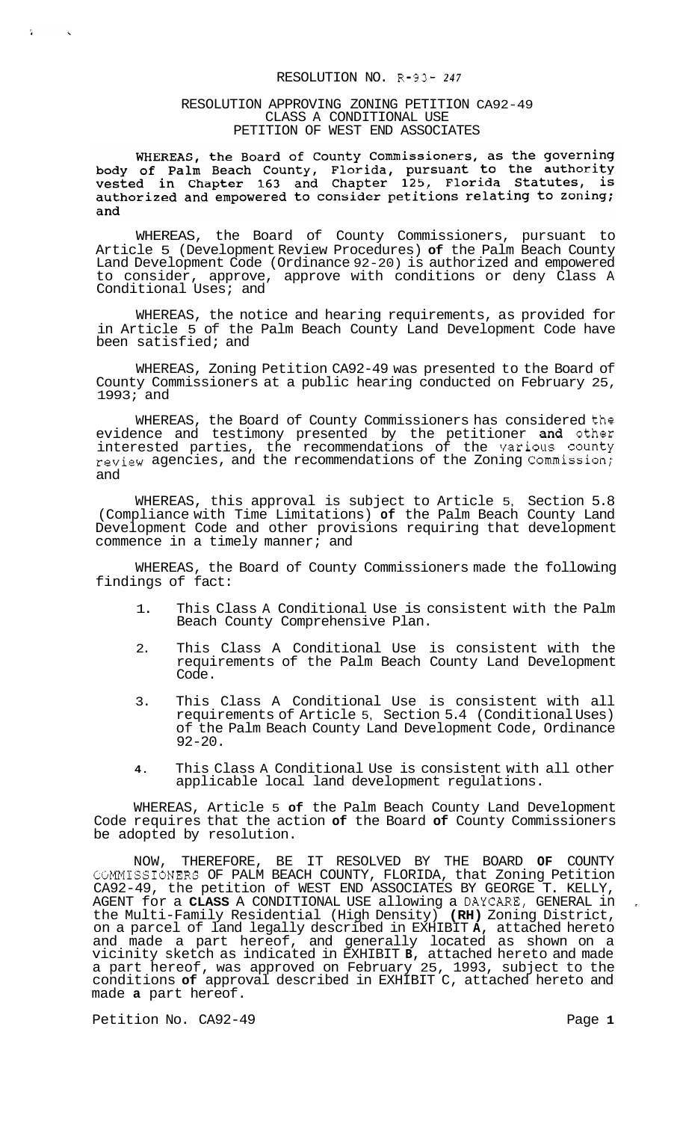#### RESOLUTION NO. R-93- *<sup>247</sup>*

#### RESOLUTION APPROVING ZONING PETITION CA92-49 CLASS A CONDITIONAL USE PETITION OF WEST END ASSOCIATES

WHEREAS, the Board of County Commissioners, as the governing<br>body of Palm Beach County, Florida, pursuant to the authority<br>vested in Chapter 163 and Chapter 125, Florida Statutes, is authorized and empowered to consider petitions relating to zoning; and

WHEREAS, the Board of County Commissioners, pursuant to Article 5 (Development Review Procedures) **of** the Palm Beach County Land Development Code (Ordinance 92-20) is authorized and empowered to consider, approve, approve with conditions or deny Class A Conditional Uses; and

WHEREAS, the notice and hearing requirements, as provided for in Article 5 of the Palm Beach County Land Development Code have been satisfied; and

WHEREAS, Zoning Petition CA92-49 was presented to the Board of County Commissioners at a public hearing conducted on February 25, 1993; and

WHEREAS, the Board of County Commissioners has considered the evidence and testimony presented by the petitioner and other interested parties, the recommendations of the Various County review agencies, and the recommendations of the Zoning Commission; and

WHEREAS, this approval is subject to Article 5, Section 5.8 (Compliance with Time Limitations) **of** the Palm Beach County Land Development Code and other provisions requiring that development commence in a timely manner; and

WHEREAS, the Board of County Commissioners made the following findings of fact:

- 1. This Class A Conditional Use is consistent with the Palm Beach County Comprehensive Plan.
- 2. This Class A Conditional Use is consistent with the requirements of the Palm Beach County Land Development Code.
- 3. This Class A Conditional Use is consistent with all requirements of Article 5, Section 5.4 (Conditional Uses) of the Palm Beach County Land Development Code, Ordinance  $92 - 20$ .
- **4.** This Class A Conditional Use is consistent with all other applicable local land development regulations.

WHEREAS, Article 5 **of** the Palm Beach County Land Development Code requires that the action **of** the Board **of** County Commissioners be adopted by resolution.

NOW, THEREFORE, BE IT RESOLVED BY THE BOARD **OF** COUNTY CGMMISSIONERS OF PALM BEACH COUNTY, FLORIDA, that Zoning Petition CA92-49, the petition of WEST END ASSOCIATES BY GEORGE T. KELLY, AGENT for a **CLASS** A CONDITIONAL USE allowing a DAYCARE, GENERAL in the Multi-Family Residential (High Density) **(RH)** Zoning District, on a parcel of land legally described in EXHIBIT **A,** attached hereto and made a part hereof, and generally located as shown on a vicinity sketch as indicated in EXHIBIT **B,** attached hereto and made a part hereof, was approved on February 25, 1993, subject to the conditions **of** approval described in EXHIBIT C, attached hereto and made **a** part hereof.

Petition No. CA92-49 **Page 1 Page 1** 

 $\mathcal{L}$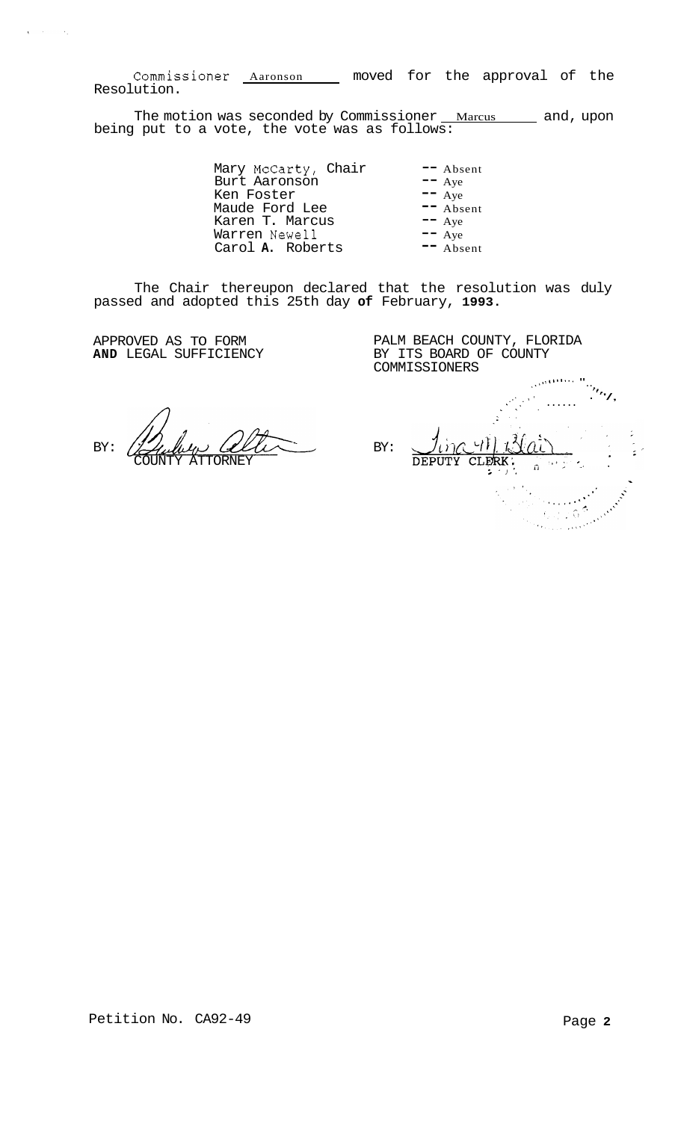Commissioner Aaronson moved for the approval of the Resolution.

The motion was seconded by Commissioner <u>Marcus sand</u>, upon being put to a vote, the vote was as follows:

> Mary McCarty, Chair -- Absent Burt Aaronson -- Aye Ken Foster -- Aye Maude Ford Lee -- Absent Karen T. Marcus -- Aye Warren Newel1 -- Aye Warren Newell **--** Aye<br>Carol **A.** Roberts **--** Absent

The Chair thereupon declared that the resolution was duly passed and adopted this 25th day **of** February, **1993.** 

**AND LEGAL SUFFICIENCY** 

 $\chi$  -  $\chi$  -  $\chi$  -

 $\sim \epsilon_{\rm in}$ 

APPROVED AS TO FORM PALM BEACH COUNTY, FLORIDA<br> **AND** LEGAL SUFFICIENCY BY ITS BOARD OF COUNTY COMMISSIONERS

 $BY: \n\begin{picture}(10,10) \put(0,0){\vector(1,0){10}} \put(10,0){\vector(1,0){10}} \put(10,0){\vector(1,0){10}} \put(10,0){\vector(1,0){10}} \put(10,0){\vector(1,0){10}} \put(10,0){\vector(1,0){10}} \put(10,0){\vector(1,0){10}} \put(10,0){\vector(1,0){10}} \put(10,0){\vector(1,0){10}} \put(10,0){\vector(1,0){10}} \put(10,0){\vector(1,0){10}} \put(10,0){$ COUNTY ATTORNEY

**,(,.I...** ,.%, ".. ., *'1,*  .. .\ - '/, **I.**  .. . ...... ., .<br>.<br>. ina 411 Blat 1. 1. <u>Nai</u> ~ rith<br>September 1976<br>September 1987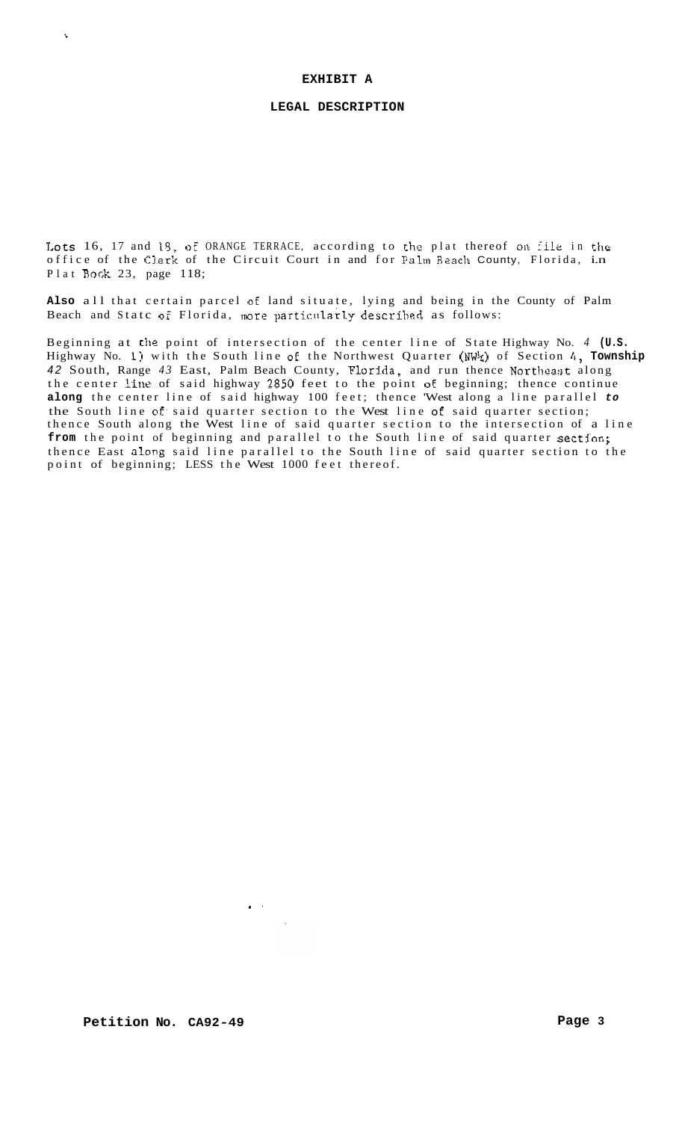#### **EXHIBIT A**

 $\lambda$ 

## **LEGAL DESCRIPTION**

Lots 16, 17 and 18, of ORANGE TERRACE, according to the plat thereof on *iile* in the office of the Clerk of the Circuit Court in and for Palm Beach County, Florida, i.n Plat Book 23, page 118;

**Also** all that certain parcel **of** land situate, lying and being in the County of Palm Beach and Statc of Florida, more particularly described as follows:

Beginning at the point of intersection of the center line of State Highway No. *4* **(U.S.**  Highway No. **1)** with the South line of the Northwest Quarter (NW%) of Section *4,* **Township**  42 South, Range 43 East, Palm Beach County, Florida, and run thence Northeast along the center line of said highway 3850 feet to the point **DE** beginning; thence continue **along** the center line of said highway 100 feet; thence 'West along a line parallel *to*  the South line of. said quarter section to the West line **oE** said quarter section; thence South along the West line of said quarter section to the intersection of a line from the point of beginning and parallel to the South line of said quarter section; thence East along said line parallel to the South line of said quarter section to the point of beginning; LESS the West 1000 feet thereof.

 $\mathbf{I} = \mathbf{I}$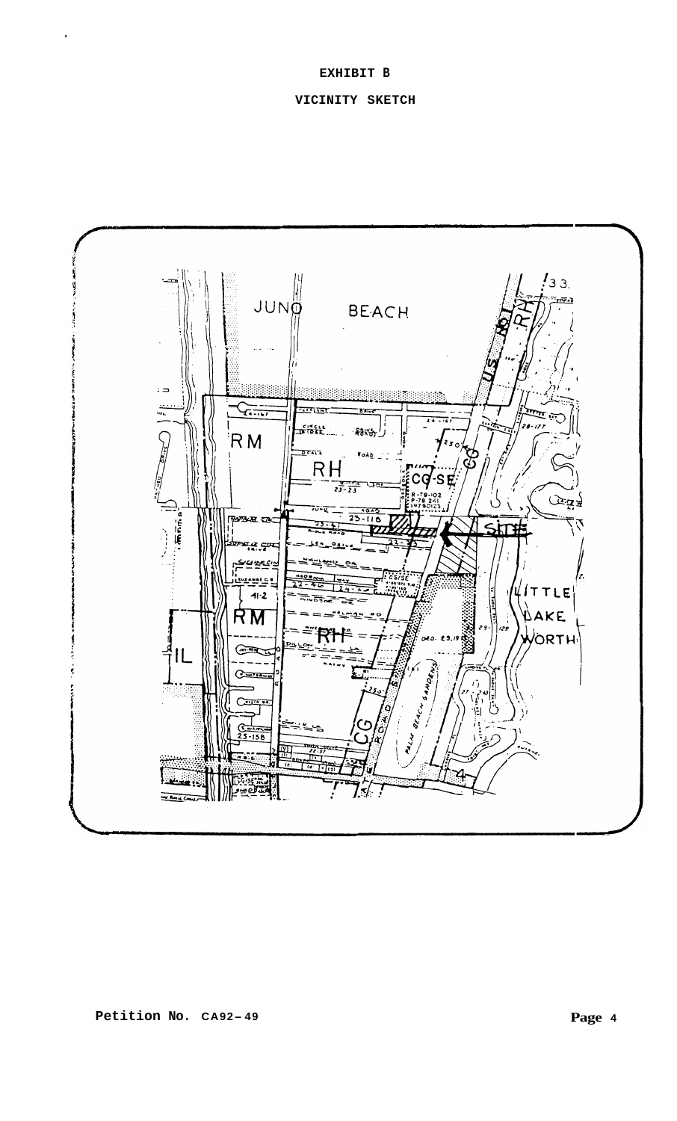# **EXHIBIT B**

# **VICINITY SKETCH**

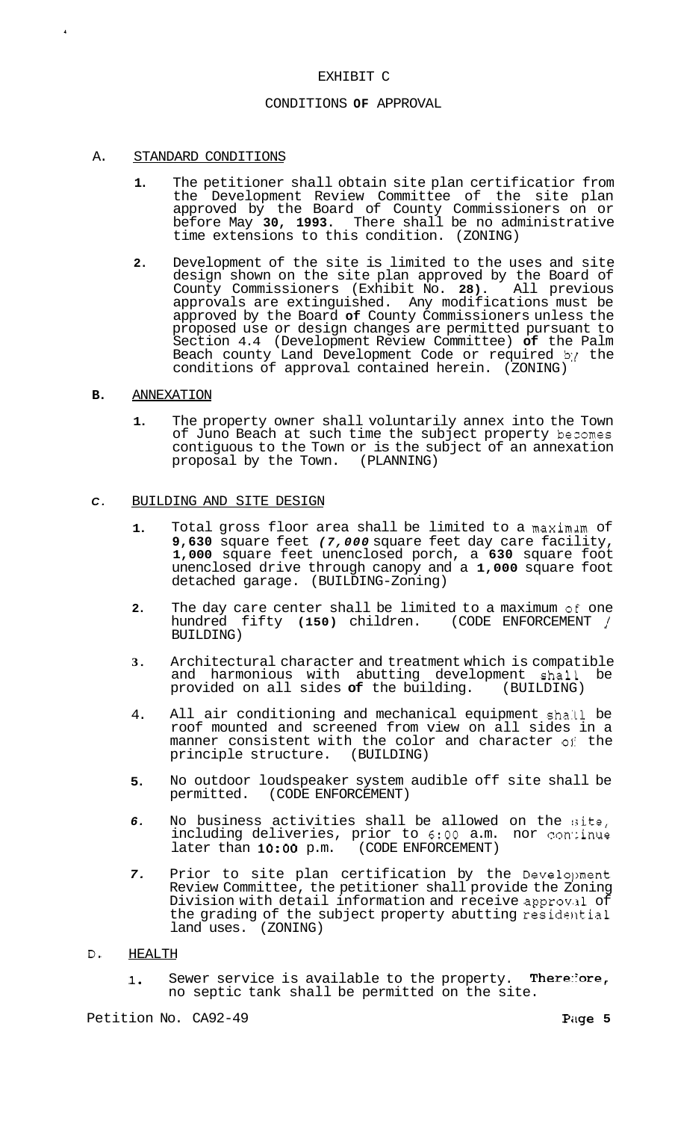## EXHIBIT C

### CONDITIONS **OF** APPROVAL

### A. STANDARD CONDITIONS

- **1.** The petitioner shall obtain site plan certificatior from the Development Review Committee of the site plan approved by the Board of County Commissioners on or before May **30, 1993.** There shall be no administrative time extensions to this condition. (ZONING)
- **2.** Development of the site is limited to the uses and site design shown on the site plan approved by the Board of County Commissioners (Exhibit No. **28).** All previous approvals are extinguished. Any modifications must be approved by the Board **of** County Commissioners unless the proposed use or design changes are permitted pursuant to Section 4.4 (Development Review Committee) **of** the Palm Beach county Land Development Code or required b:{ the conditions of approval contained herein. (ZONING)

## **B.** ANNEXATION

**1.** The property owner shall voluntarily annex into the Town of Juno Beach at such time the subject property becomes contiguous to the Town or is the subject of an annexation proposal by the Town. (PLANNING) proposal by the Town.

### *C.* BUILDING AND SITE DESIGN

- **1.**  Total gross floor area shall be limited to a maximlm of **9,630** square feet *(7,000* square feet day care facility, **1,000** square feet unenclosed porch, a **630** square foot unenclosed drive through canopy and a **1,000** square foot detached garage. (BUILDING-Zoning)
- **2.**  The day care center shall be limited to a maximum *o€* one hundred fifty **(150)** children. (CODE ENFORCEMENT / BUILDING)
- **3.**  Architectural character and treatment which is compatible and harmonious with abutting development shall be provided on all sides of the building. (BUILDING) provided on all sides of the building.
- 4. All air conditioning and mechanical equipment shall be roof mounted and screened from view on all sides in a manner consistent with the color and character of the principle structure. (BUILDING)
- **5.**  No outdoor loudspeaker system audible off site shall be permitted. (CODE ENFORCEMENT) (CODE ENFORCEMENT)
- *6.*  No business activities shall be allowed on the :site, including deliveries, prior to 6:00 a.m. nor continue<br>later than **10:00** p.m. (CODE ENFORCEMENT) later than **10:00** p.m.
- *7.*  Prior to site plan certification by the Development Review Committee, the petitioner shall provide the Zoning Division with detail information and receive approval of the grading of the subject property abutting residential land uses. (ZONING)

# **D.** HEALTH

1. Sewer service is available to the property. There:ore, no septic tank shall be permitted on the site.

Petition No. CA92-49 **Piige 5 Piige 5**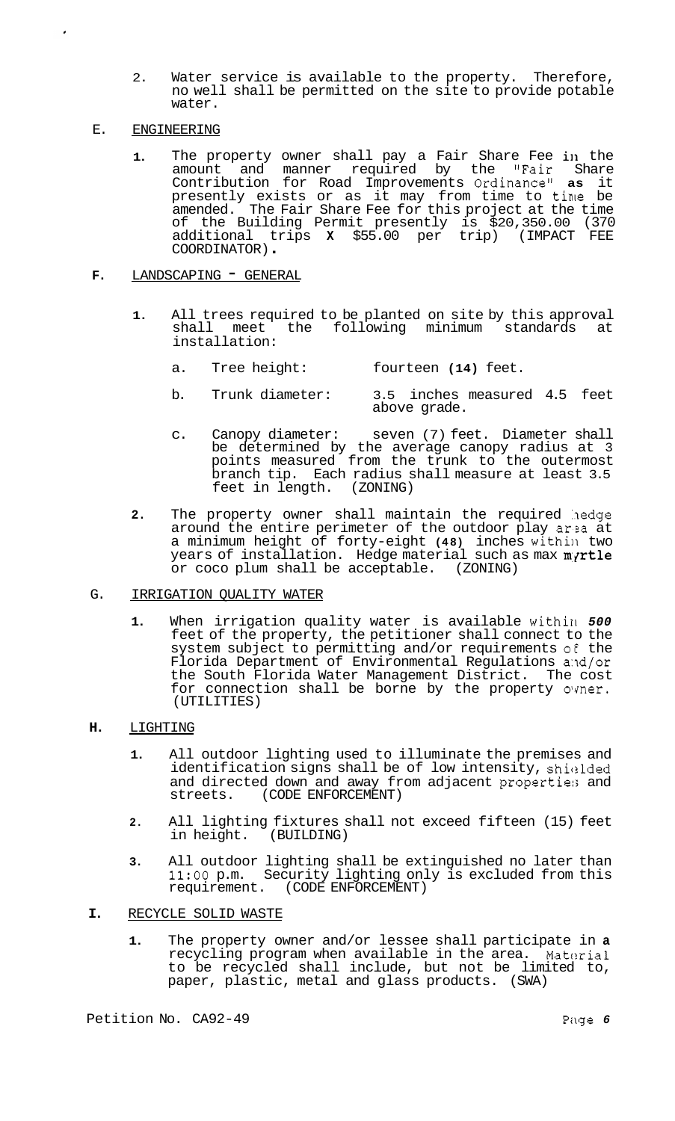2. Water service is available to the property. Therefore, no well shall be permitted on the site to provide potable water.

# E. ENGINEERING

**1.** The property owner shall pay a Fair Share Fee in the amount and manner required by the "Fair Share Contribution for Road Improvements Ordinance" **as** it presently exists or as it may from time to time be amended. The Fair Share Fee for this project at the time of the Building Permit presently is \$20,350.00 (370 additional trips **X** \$55.00 per trip) (IMPACT FEE COORDINATOR) .

# F. LANDSCAPING - GENERAL

- **1.** All trees required to be planted on site by this approval shall meet the following minimum installation:
	- a. Tree height: fourteen **(14)** feet.
	- b. Trunk diameter: 3.5 inches measured 4.5 feet above grade.
	- c. Canopy diameter: seven (7) feet. Diameter shall be determined by the average canopy radius at 3 points measured from the trunk to the outermost branch tip. Each radius shall measure at least 3.5 feet in length. (ZONING) feet in length.
- **2.** The property owner shall maintain the required hedge around the entire perimeter of the outdoor play arza at a minimum height of forty-eight (48) inches within two years of installation. Hedge material such as max myrtle or coco plum shall be acceptable. (ZONING)

# G. IRRIGATION QUALITY WATER

1. When irrigation quality water is available within 500 feet of the property, the petitioner shall connect to the system subject to permitting and/or requirements of the Florida Department of Environmental Regulations and/or the South Florida Water Management District. The cost for connection shall be borne by the property owner. (UTILITIES)

# **H.** LIGHTING

- **1.** All outdoor lighting used to illuminate the premises and identification signs shall be of low intensity, shiclded and directed down and away from adjacent properties and streets. (CODE ENFORCEMENT) (CODE ENFORCEMENT)
- **2.** All lighting fixtures shall not exceed fifteen (15) feet in height. (BUILDING)
- **3.** All outdoor lighting shall be extinguished no later than **11:OO** p.m. Security lighting only is excluded from this requirement. (CODE ENFORCEMENT)
- **I.** RECYCLE SOLID WASTE
	- **1.** The property owner and/or lessee shall participate in **a**  recycling program when available in the area. Material to be recycled shall include, but not be limited to, paper, plastic, metal and glass products. (SWA)